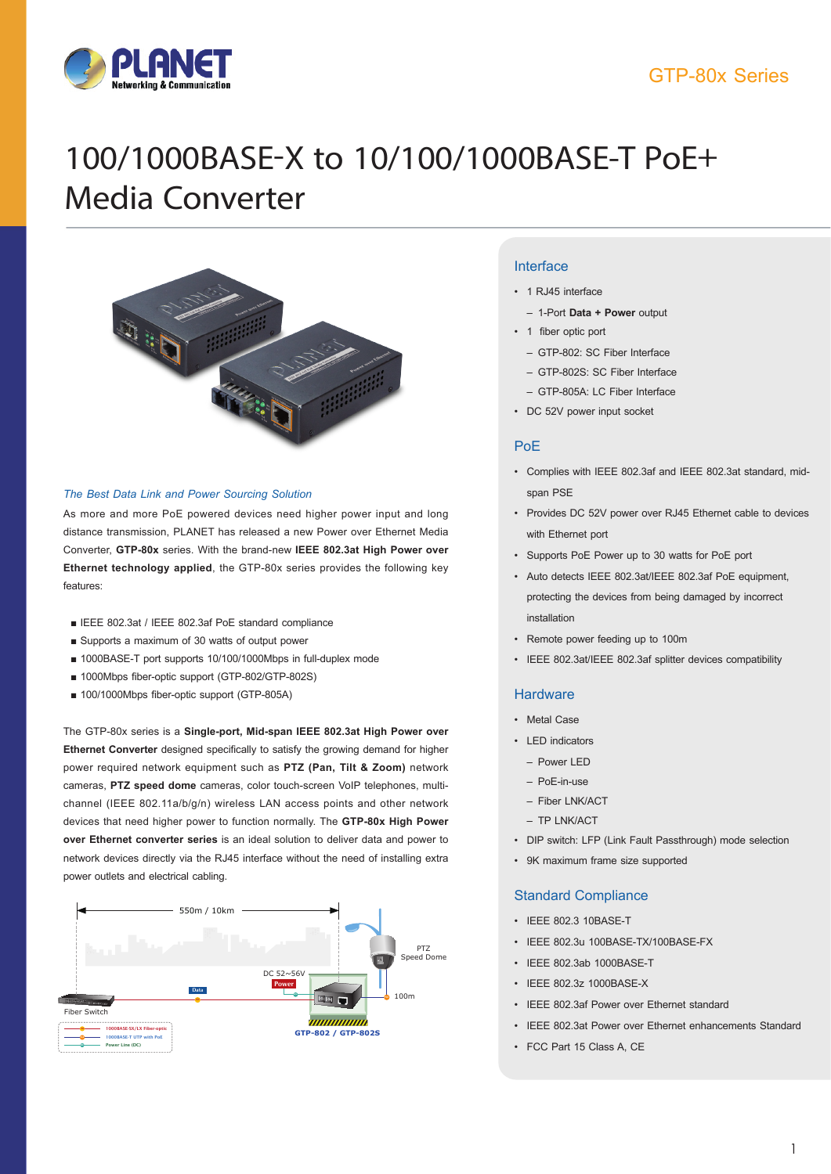### GTP-80x Series



# 100/1000BASE-X to 10/100/1000BASE-T PoE+ Media Converter



#### *The Best Data Link and Power Sourcing Solution*

As more and more PoE powered devices need higher power input and long distance transmission, PLANET has released a new Power over Ethernet Media Converter, **GTP-80x** series. With the brand-new **IEEE 802.3at High Power over Ethernet technology applied**, the GTP-80x series provides the following key features:

- IEEE 802.3at / IEEE 802.3af PoE standard compliance
- Supports a maximum of 30 watts of output power
- 1000BASE-T port supports 10/100/1000Mbps in full-duplex mode
- 1000Mbps fiber-optic support (GTP-802/GTP-802S)
- 100/1000Mbps fiber-optic support (GTP-805A)

The GTP-80x series is a **Single-port, Mid-span IEEE 802.3at High Power over Ethernet Converter** designed specifically to satisfy the growing demand for higher power required network equipment such as **PTZ (Pan, Tilt & Zoom)** network cameras, **PTZ speed dome** cameras, color touch-screen VoIP telephones, multichannel (IEEE 802.11a/b/g/n) wireless LAN access points and other network devices that need higher power to function normally. The **GTP-80x High Power over Ethernet converter series** is an ideal solution to deliver data and power to network devices directly via the RJ45 interface without the need of installing extra power outlets and electrical cabling.



#### **Interface**

- 1 RJ45 interface
	- 1-Port **Data + Power** output
	- 1 fiber optic port
		- GTP-802: SC Fiber Interface
		- GTP-802S: SC Fiber Interface
		- GTP-805A: LC Fiber Interface
	- • DC 52V power input socket

#### PoE

- • Complies with IEEE 802.3af and IEEE 802.3at standard, midspan PSE
- • Provides DC 52V power over RJ45 Ethernet cable to devices with Ethernet port
- • Supports PoE Power up to 30 watts for PoE port
- • Auto detects IEEE 802.3at/IEEE 802.3af PoE equipment, protecting the devices from being damaged by incorrect installation
- • Remote power feeding up to 100m
- • IEEE 802.3at/IEEE 802.3af splitter devices compatibility

#### **Hardware**

- • Metal Case
- LED indicators
	- Power LED
	- PoE-in-use
	- Fiber LNK/ACT
	- TP LNK/ACT
- DIP switch: LFP (Link Fault Passthrough) mode selection
- • 9K maximum frame size supported

#### Standard Compliance

- • IEEE 802.3 10BASE-T
- • IEEE 802.3u 100BASE-TX/100BASE-FX
- • IEEE 802.3ab 1000BASE-T
- • IEEE 802.3z 1000BASE-X
- • IEEE 802.3af Power over Ethernet standard
- • IEEE 802.3at Power over Ethernet enhancements Standard
- • FCC Part 15 Class A, CE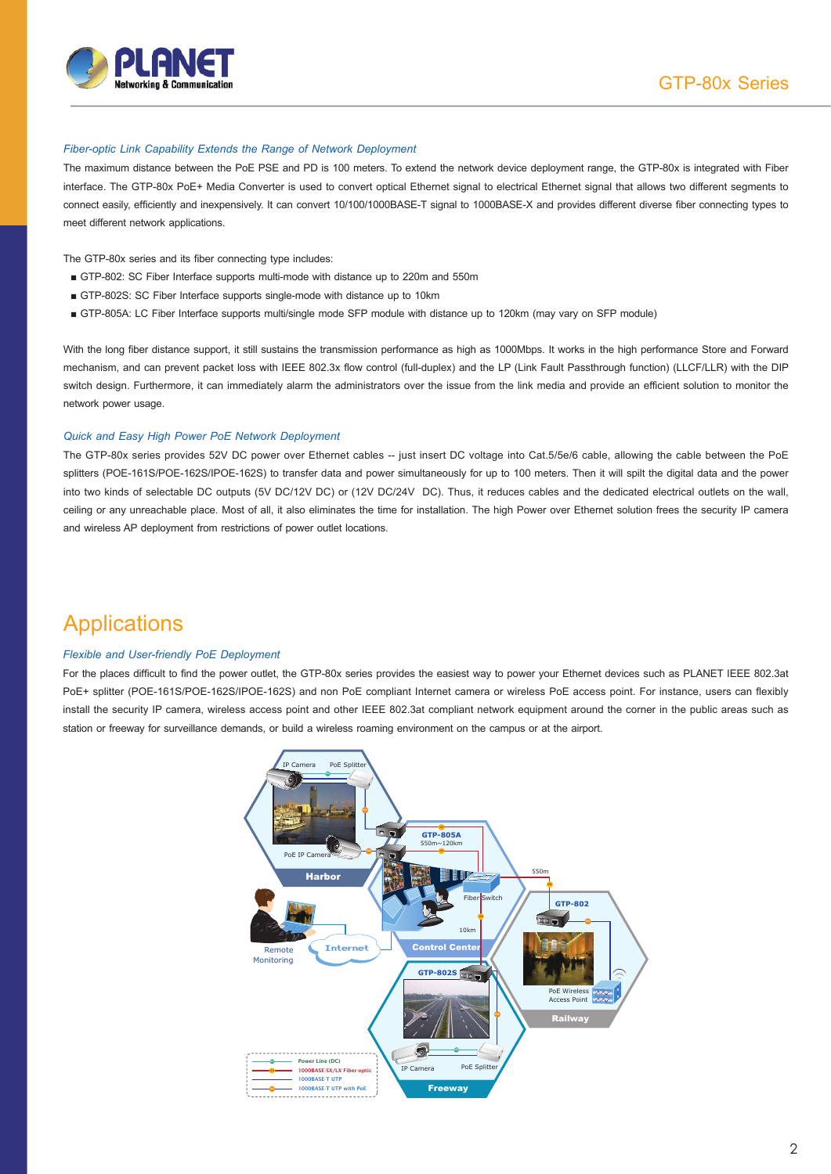

#### *Fiber-optic Link Capability Extends the Range of Network Deployment*

The maximum distance between the PoE PSE and PD is 100 meters. To extend the network device deployment range, the GTP-80x is integrated with Fiber interface. The GTP-80x PoE+ Media Converter is used to convert optical Ethernet signal to electrical Ethernet signal that allows two different segments to connect easily, efficiently and inexpensively. It can convert 10/100/1000BASE-T signal to 1000BASE-X and provides different diverse fiber connecting types to meet different network applications.

The GTP-80x series and its fiber connecting type includes:

- GTP-802: SC Fiber Interface supports multi-mode with distance up to 220m and 550m
- GTP-802S: SC Fiber Interface supports single-mode with distance up to 10km
- GTP-805A: LC Fiber Interface supports multi/single mode SFP module with distance up to 120km (may vary on SFP module)

With the long fiber distance support, it still sustains the transmission performance as high as 1000Mbps. It works in the high performance Store and Forward mechanism, and can prevent packet loss with IEEE 802.3x flow control (full-duplex) and the LP (Link Fault Passthrough function) (LLCF/LLR) with the DIP switch design. Furthermore, it can immediately alarm the administrators over the issue from the link media and provide an efficient solution to monitor the network power usage.

#### *Quick and Easy High Power PoE Network Deployment*

The GTP-80x series provides 52V DC power over Ethernet cables -- just insert DC voltage into Cat.5/5e/6 cable, allowing the cable between the PoE splitters (POE-161S/POE-162S/IPOE-162S) to transfer data and power simultaneously for up to 100 meters. Then it will spilt the digital data and the power into two kinds of selectable DC outputs (5V DC/12V DC) or (12V DC/24V DC). Thus, it reduces cables and the dedicated electrical outlets on the wall, ceiling or any unreachable place. Most of all, it also eliminates the time for installation. The high Power over Ethernet solution frees the security IP camera and wireless AP deployment from restrictions of power outlet locations.

## Applications

#### *Flexible and User-friendly PoE Deployment*

For the places difficult to find the power outlet, the GTP-80x series provides the easiest way to power your Ethernet devices such as PLANET IEEE 802.3at PoE+ splitter (POE-161S/POE-162S/IPOE-162S) and non PoE compliant Internet camera or wireless PoE access point. For instance, users can flexibly install the security IP camera, wireless access point and other IEEE 802.3at compliant network equipment around the corner in the public areas such as station or freeway for surveillance demands, or build a wireless roaming environment on the campus or at the airport.

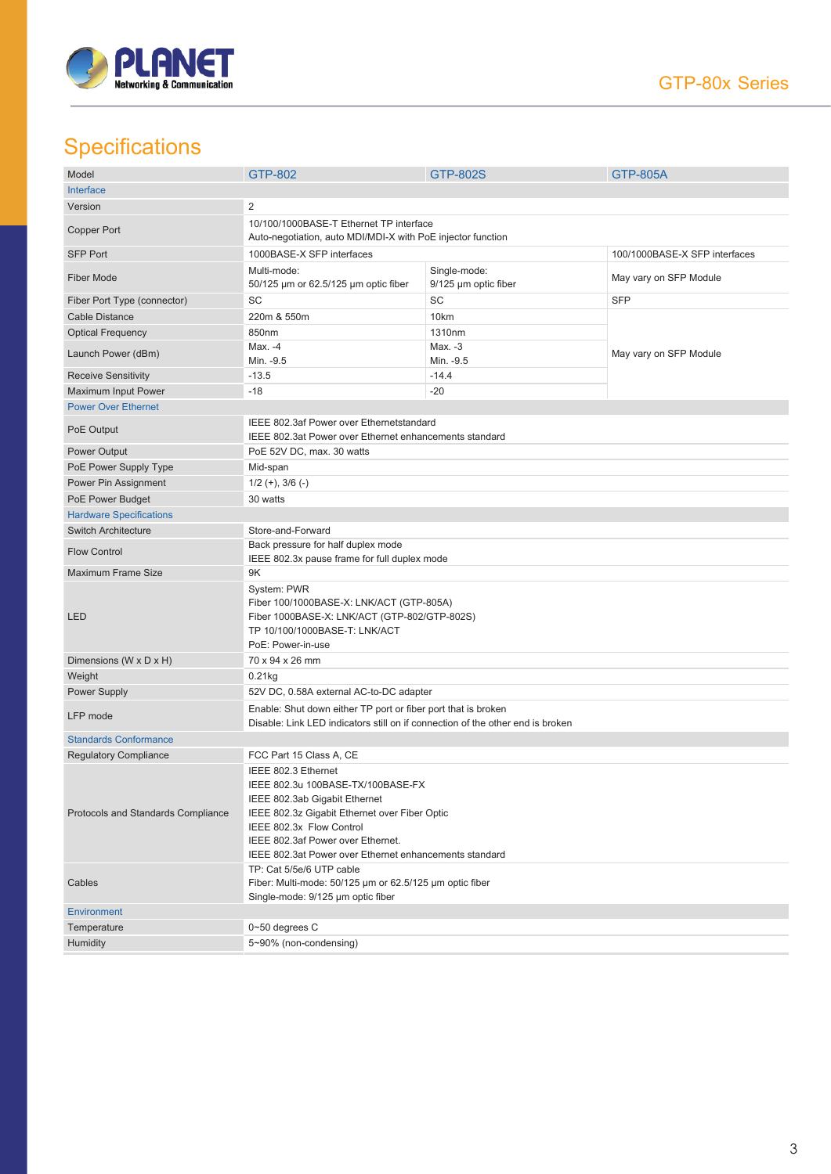

## **Specifications**

| Model                              | <b>GTP-802</b>                                                                                     | GTP-802S             | <b>GTP-805A</b>        |  |
|------------------------------------|----------------------------------------------------------------------------------------------------|----------------------|------------------------|--|
| Interface                          |                                                                                                    |                      |                        |  |
| Version                            | $\overline{2}$                                                                                     |                      |                        |  |
|                                    | 10/100/1000BASE-T Ethernet TP interface                                                            |                      |                        |  |
| Copper Port                        | Auto-negotiation, auto MDI/MDI-X with PoE injector function                                        |                      |                        |  |
| <b>SFP Port</b>                    | 1000BASE-X SFP interfaces<br>100/1000BASE-X SFP interfaces                                         |                      |                        |  |
| <b>Fiber Mode</b>                  | Multi-mode:                                                                                        | Single-mode:         | May vary on SFP Module |  |
|                                    | 50/125 µm or 62.5/125 µm optic fiber                                                               | 9/125 µm optic fiber |                        |  |
| Fiber Port Type (connector)        | SC                                                                                                 | SC                   | <b>SFP</b>             |  |
| <b>Cable Distance</b>              | 220m & 550m                                                                                        | 10km                 |                        |  |
| <b>Optical Frequency</b>           | 850nm                                                                                              | 1310nm               |                        |  |
| Launch Power (dBm)                 | Max. -4                                                                                            | Max. -3              | May vary on SFP Module |  |
|                                    | Min. - 9.5                                                                                         | Min. - 9.5           |                        |  |
| <b>Receive Sensitivity</b>         | $-13.5$                                                                                            | $-14.4$              |                        |  |
| Maximum Input Power                | $-18$                                                                                              | $-20$                |                        |  |
| <b>Power Over Ethernet</b>         |                                                                                                    |                      |                        |  |
| PoE Output                         | IEEE 802.3af Power over Ethernetstandard<br>IEEE 802.3at Power over Ethernet enhancements standard |                      |                        |  |
|                                    |                                                                                                    |                      |                        |  |
| Power Output                       | PoE 52V DC, max. 30 watts                                                                          |                      |                        |  |
| PoE Power Supply Type              | Mid-span                                                                                           |                      |                        |  |
| Power Pin Assignment               | $1/2 (+), 3/6 (-)$                                                                                 |                      |                        |  |
| PoE Power Budget                   | 30 watts                                                                                           |                      |                        |  |
| <b>Hardware Specifications</b>     |                                                                                                    |                      |                        |  |
| <b>Switch Architecture</b>         | Store-and-Forward                                                                                  |                      |                        |  |
| <b>Flow Control</b>                | Back pressure for half duplex mode<br>IEEE 802.3x pause frame for full duplex mode                 |                      |                        |  |
| <b>Maximum Frame Size</b>          | 9Κ                                                                                                 |                      |                        |  |
|                                    | System: PWR                                                                                        |                      |                        |  |
|                                    | Fiber 100/1000BASE-X: LNK/ACT (GTP-805A)                                                           |                      |                        |  |
| <b>LED</b>                         | Fiber 1000BASE-X: LNK/ACT (GTP-802/GTP-802S)                                                       |                      |                        |  |
|                                    | TP 10/100/1000BASE-T: LNK/ACT                                                                      |                      |                        |  |
|                                    | PoE: Power-in-use                                                                                  |                      |                        |  |
| Dimensions (W x D x H)             | 70 x 94 x 26 mm                                                                                    |                      |                        |  |
| Weight                             | 0.21kg                                                                                             |                      |                        |  |
| <b>Power Supply</b>                | 52V DC, 0.58A external AC-to-DC adapter                                                            |                      |                        |  |
| LFP mode                           | Enable: Shut down either TP port or fiber port that is broken                                      |                      |                        |  |
|                                    | Disable: Link LED indicators still on if connection of the other end is broken                     |                      |                        |  |
| <b>Standards Conformance</b>       |                                                                                                    |                      |                        |  |
| <b>Regulatory Compliance</b>       | FCC Part 15 Class A, CE                                                                            |                      |                        |  |
| Protocols and Standards Compliance | IEEE 802.3 Ethernet                                                                                |                      |                        |  |
|                                    | IEEE 802.3u 100BASE-TX/100BASE-FX<br>IEEE 802.3ab Gigabit Ethernet                                 |                      |                        |  |
|                                    | IEEE 802.3z Gigabit Ethernet over Fiber Optic                                                      |                      |                        |  |
|                                    | IEEE 802.3x Flow Control                                                                           |                      |                        |  |
|                                    | IEEE 802.3af Power over Ethernet.                                                                  |                      |                        |  |
|                                    | IEEE 802.3at Power over Ethernet enhancements standard                                             |                      |                        |  |
| Cables                             | TP: Cat 5/5e/6 UTP cable                                                                           |                      |                        |  |
|                                    | Fiber: Multi-mode: 50/125 µm or 62.5/125 µm optic fiber                                            |                      |                        |  |
|                                    | Single-mode: 9/125 µm optic fiber                                                                  |                      |                        |  |
| <b>Environment</b>                 |                                                                                                    |                      |                        |  |
| Temperature                        | 0~50 degrees C                                                                                     |                      |                        |  |
| Humidity                           | 5~90% (non-condensing)                                                                             |                      |                        |  |